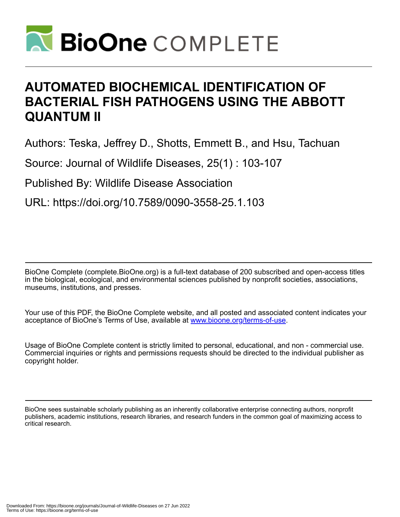

# **AUTOMATED BIOCHEMICAL IDENTIFICATION OF BACTERIAL FISH PATHOGENS USING THE ABBOTT QUANTUM II**

Authors: Teska, Jeffrey D., Shotts, Emmett B., and Hsu, Tachuan

Source: Journal of Wildlife Diseases, 25(1) : 103-107

Published By: Wildlife Disease Association

URL: https://doi.org/10.7589/0090-3558-25.1.103

BioOne Complete (complete.BioOne.org) is a full-text database of 200 subscribed and open-access titles in the biological, ecological, and environmental sciences published by nonprofit societies, associations, museums, institutions, and presses.

Your use of this PDF, the BioOne Complete website, and all posted and associated content indicates your acceptance of BioOne's Terms of Use, available at www.bioone.org/terms-of-use.

Usage of BioOne Complete content is strictly limited to personal, educational, and non - commercial use. Commercial inquiries or rights and permissions requests should be directed to the individual publisher as copyright holder.

BioOne sees sustainable scholarly publishing as an inherently collaborative enterprise connecting authors, nonprofit publishers, academic institutions, research libraries, and research funders in the common goal of maximizing access to critical research.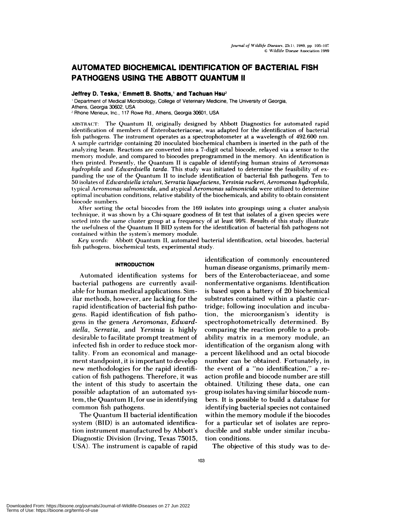# **AUTOMATED BIOCHEMICAL IDENTIFICATION OF BACTERIAL FISH PATHOGENS USING THE ABBOTT QUANTUM II**

# Jeffrey D. Teska,' Emmett B. Shotts,' and Tachuan Hsu<sup>2</sup>

Department of Medical Microbiology, College of Veterinary Medicine, The University of Georgia, Athens, Georgia 30602, USA

**<sup>2</sup>** Rhone Merieux, Inc., 117 Rowe Rd., Athens, Georgia 30601, USA

ABSTRACT: The Quantum II, originally designed by Abbott Diagnostics for automated rapid identification of members of Enterobacteriaceae, was adapted for the identification of bacterial fish pathogens. The instrument operates as a spectrophotometer at a wavelength of 492.600 nm. A sample cartridge containing 20 inoculated biochemical chambers is inserted in the path of the analyzing beam. Reactions are converted into a 7-digit octal biocode, relayed via a sensor to the memory module, and compared to biocodes preprogrammed in the memory. An identification is then printed. Presently, the Quantum IIis capable of identifying human strains of *Aeromonas hydrophila* and *Edwardsiella tarda.* This study was initiated to determine the feasibility of ex panding the use of the Quantum II to include identification of bacterial fish pathogens. Ten to 50 isolates of *Edwardsiella ictaluri, Serratia liquefaciens, Yersinia ruckeri, Aeromonas hydrophila,* typical *Aeromonas salmonicida,* and atypical *Aeromonas salrnonicida* were utilized to determine optimal incubation conditions, relative stability of the biochemicals, and ability to obtain consistent biocode numbers.

After sorting the octal biocodes from the 169 isolates into groupings using a cluster analysis technique, it was shown by a Chi-square goodness of fit test that isolates of a given species were sorted into the same cluster group at a frequency of at least 99%. Results of this study illustrate the usefulness of the Quantum II BID system for the identification of bacterial fish pathogens not contained within the system's memory module.

*Key words:* Abbott Quantum II, automated bacterial identification, octal biocodes, bacterial fish pathogens, biochemical tests, experimental study.

## **INTRODUCTION**

Automated identification systems for bacterial pathogens are currently available for human medical applications. Similar methods, however, are lacking for the rapid identification of bacterial fish pathogens. Rapid identification of fish pathogens in the genera *Aeromonas, Edwardsiella, Serratia,* and *Yersinia* is highly desirable to facilitate prompt treatment of infected fish in order to reduce stock mortality. From an economical and management standpoint, it is important to develop new methodologies for the rapid identification of fish pathogens. Therefore, it was the intent of this study to ascertain the possible adaptation of an automated system, the Quantum II, for use in identifying common fish pathogens.

The Quantum II bacterial identification system (BID) is an automated identification instrument manufactured by Abbott's Diagnostic Division (Irving, Texas 75015, USA). The instrument is capable of rapid

**identification** of commonly encountered human disease organisms, primarily mem bers of the Enterobacteriaceae, and some nonfermentative organisms. Identification is based upon a battery of 20 biochemical substrates contained within a plastic cartridge; following inoculation and incubation, the microorganism's identity is spectrophotometrically determined. By comparing the reaction profile to a probability matrix in a memory module, an identification of the organism along with a percent likelihood and an octal biocode number can be obtained. Fortunately, in the event of a "no identification," a re action profile and biocode number are still obtained. Utilizing these data, one can group isolates having similar biocode num bers. It is possible to build a database for identifying bacterial species not contained within the memory module if the biocodes for a particular set of isolates are reproducible and stable under similar incubation conditions.

The objective of this study was to de-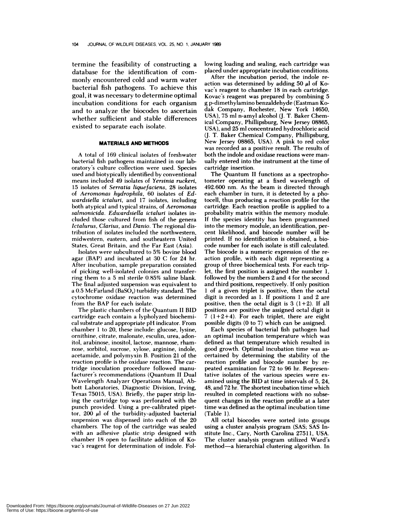termine the feasibility of constructing a database for the identification of com monly encountered cold and warm water bacterial fish pathogens. To achieve this goal, it was necessary to determine optimal incubation conditions for each organism and to analyze the biocodes to ascertain whether sufficient and stable differences existed to separate each isolate.

#### **MATERIALS AND METHODS**

A total of 169 clinical isolates of freshwater **bacterial** fish pathogens maintained in our laboratory's culture collection were used. Species used and biotypically identified by conventional means included 49 isolates of *Yersinia ruckeri,* 15 isolates of *Serratia liquefaciens,* 28 isolates **of** *Aeromonas hydrophila,* 60 isolates of *Edwardsiella ictaluri,* and 17 isolates, including both atypical and typical strains, of *Aeromonas salmonicida. Edwardsiella ictaluri* isolates included those cultured from fish of the genera *Ictalurus, Clarius,* and *Danio.* The regional distribution of isolates included the northwestern, midwestern, eastern, and southeastern United **States, Creat Britain,** and the Far East (Asia).

Isolates were subcultured to 5% bovine blood agar (BAP) and incubated at 30 C for 24 hr. After incubation, sample preparation consisted of picking well-isolated colonies and transferring them to a 5 ml sterile 0.85% saline blank. The final adjusted suspension was equivalent to a  $0.5$  McFarland (BaSO<sub>4</sub>) turbidity standard. The cytochrome oxidase reaction was determined from the BAP for each isolate.

The plastic chambers of the Quantum II BID cartridge each contain a lypholyzed biochemi cal substrate and appropriate pH indicator. From chamber 1 to 20, these include: glucose, lysine, ornithine, citrate, malonate, esculin, urea, adonitol, arabinose, inositol, lactose, mannose, rham nose, sorbitol, sucrose, xylose, arginine, indole, acetamide, and polymyxin B. Position 21 of the reaction profile is the oxidase reaction. The cartridge inoculation procedure followed manufacturer's recommendations (Quantum II Dual Wavelength Analyzer Operations Manual, Abbott Laboratories, Diagnostic Division, Irving, Texas 75015, USA). Briefly, the paper strip lining the cartridge top was perforated with the punch provided. Using a pre-calibrated pipettor, 200  $\mu$ l of the turbidity-adjusted bacterial suspension was dispensed into each of the 20 chambers. The top of the cartridge was sealed with an adhesive plastic strip designed with chamber 18 open to facilitate addition of Kovac's reagent for determination of indole. Following loading and sealing, each cartridge was placed under appropriate incubation conditions.

After the incubation period, the indole re action was determined by adding 50  $\mu$ l of Kovac's reagent to chamber 18 in each cartridge. Kovac's reagent was prepared by combining 5 g p-dimethylamino benzaldehyde (Eastman Ko dak Company, Rochester, New York 14650, USA), 75 ml n-amyl alcohol (J. T. Baker Chemical Company, Phillipsburg, New Jersey 08865, USA), and 25 ml concentrated hydrochloric acid (J. T. Baker Chemical Company, Phillipsburg, New Jersey 08865, USA). A pink to red color was recorded as a positive result. The results of both the indole and oxidase reactions were man ually entered into the instrument at the time of cartridge insertion.

The Quantum II functions as a spectrophotometer operating at a fixed wavelength of 492.600 nm. As the beam is directed through each chamber in turn, it is detected by a photocell, thus producing a reaction profile for the cartridge. Each reaction profile is applied to a probability matrix within the memory module. If the species identity has been programmed into the memory module, an identification, per cent likelihood, and biocode number will be printed. If no identification is obtained, a biocode number for each isolate is still calculated. The biocode is a numeric expression of the re action profile, with each digit representing a group of three biochemical tests. For each triplet, the first position is assigned the number 1, followed by the numbers 2 and 4 for the second and third positions, respectively. If only position 1 of a given triplet is positive, then the octal digit is recorded as 1. If positions 1 and 2 are positive, then the octal digit is  $3(1+2)$ . If all positions are positive the assigned octal digit is  $7(1+2+4)$ . For each triplet, there are eight possible digits (0 to 7) which can be assigned.

Each species of bacterial fish pathogen had an optimal incubation temperature which was defined as that temperature which resulted in good growth. Optimal incubation time was as certained by determining the stability of the reaction profile and biocode number by re peated examination for 72 to 96 hr. Representative isolates of the various species were ex amined using the **BID at** time intervals of 5, 24, 48, and 72 hr. The shortest incubation time which resulted in completed reactions with no subsequent changes in the reaction profile at a later time was defined as the optimal incubation time (Table 1).

All octal biocodes were sorted into groups using a cluster analysis program (SAS; SAS Institute Inc., Gary, North Carolina 27511, USA. The cluster analysis program utilized Ward's method-a hierarchial clustering algorithm. In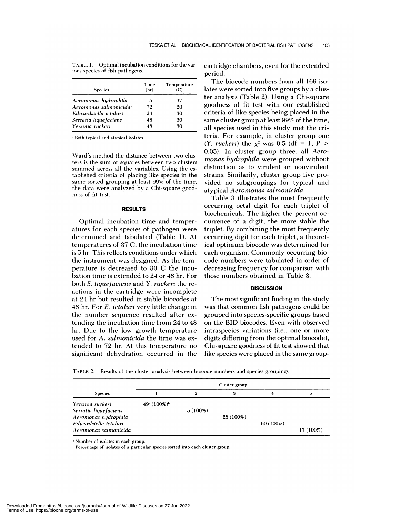| <b>Species</b>                     | Time<br>(hr) | Temperature<br>(C) |
|------------------------------------|--------------|--------------------|
| Aeromonas hydrophila               | 5            | 37                 |
| Aeromonas salmonicida <sup>2</sup> | 72           | 20                 |
| Edwardsiella ictaluri              | 24           | 30                 |
| Serratia liquefaciens              | 48           | 30                 |
| Yersinia ruckeri                   | 48           | 30                 |

TABLE 1. Optimal incubation conditions for the various species of fish pathogens.

Both typical and atypical isolates.

Ward's method the distance between two clusters is the sum of squares between two clusters summed across all the variables. Using the established criteria of placing like species in the same sorted grouping at least 99% of the time, the data were analyzed by a Chi-square good ness of fit test.

# **RESULTS**

Optimal incubation time and temperatures for each species of pathogen were determined and tabulated (Table 1). At temperatures of 37 C, the incubation time is 5 hr. This reflects conditions under which the instrument was designed. As the temperature is decreased to 30 C the incubation time is extended to 24 or 48 hr. For both *S. liquefaciens* and *Y. ruckeri* the re actions in the cartridge were incomplete at 24 hr but resulted in stable biocodes at 48 hr. For *E. ictaluri* very little change in the number sequence resulted after extending the incubation time from 24 to 48 hr. Due to the low growth temperature used for *A. salmonicida* the time was extended to 72 hr.At this temperature no significant dehydration occurred in the cartridge chambers, even for the extended period.

The biocode numbers from all 169 isolates were sorted into five groups by a cluster analysis (Table 2). Using a Chi-square goodness of fit test with our established criteria of like species being placed in the same cluster group at least 99% of the time, all species used in this study met the criteria. For example, in cluster group one *(Y. ruckeri)* the  $x^2$  was 0.5 (df = 1, *P* > 0.05). In cluster group three, all *Aero monas hydrophila* were grouped without distinction as to virulent or nonvirulent strains. Similarily, cluster group five provided no subgroupings for typical and atypical *Aeromonas salmonicida.*

Table 3 illustrates the most frequently occurring octal digit for each triplet of biochemicals. The higher the percent oc currence of a digit, the more stable the triplet. By combining the most frequently occurring digit for each triplet, a theoretical optimum biocode was determined for each organism. Commonly occurring biocode numbers were tabulated in order of decreasing frequency for comparison with those numbers obtained in Table 3.

## **DISCUSSION**

The most significant finding in this study was that common fish pathogens could be grouped into species-specific groups based on the BID biocodes. Even with observed intraspecies variations (i.e., one or more digits differing from the optimal biocode), Chi-square goodness of fit test showed that like species were placed in the same group-

TABLE 2. Results of the cluster analysis between biocode numbers and species groupings.

| <b>Species</b>        |              | 2         | З         |           |           |
|-----------------------|--------------|-----------|-----------|-----------|-----------|
| Yersinia ruckeri      | 49 $(100\%)$ |           |           |           |           |
| Serratia liquefaciens |              | 15 (100%) |           |           |           |
| Aeromonas hydrophila  |              |           | 28 (100%) |           |           |
| Edwardsiella ictaluri |              |           |           | 60 (100%) |           |
| Aeromonas salmonicida |              |           |           |           | 17 (100%) |

'Number of isolates in each group.

'Percentage of isolates of a particular species sorted into each cluster group.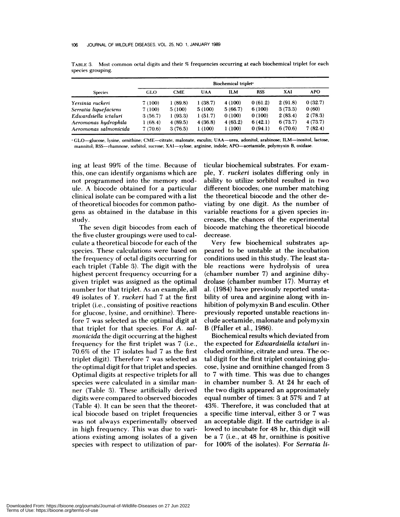|                       | Biochemical triplet <sup>*</sup> |            |            |            |            |         |            |
|-----------------------|----------------------------------|------------|------------|------------|------------|---------|------------|
| <b>Species</b>        | <b>GLO</b>                       | <b>CME</b> | <b>UAA</b> | <b>ILM</b> | <b>RSS</b> | XAI     | <b>APO</b> |
| Yersinia ruckeri      | 7 (100)                          | 1(89.8)    | 1(38.7)    | 4(100)     | 0(61.2)    | 2(91.8) | 0(32.7)    |
| Serratia liquefaciens | 7 (100)                          | 5(100)     | 5(100)     | 5(66.7)    | 6(100)     | 3(73.3) | 0(60)      |
| Edwardsiella ictaluri | 3(56.7)                          | 1(93.3)    | 1(51.7)    | 0(100)     | 0(100)     | 2(83.4) | 2(78.3)    |
| Aeromonas hudrophila  | 1(68.4)                          | 4(89.5)    | 4(36.8)    | 4(63.2)    | 6(42.1)    | 6(73.7) | 4(73.7)    |
| Aeromonas salmonicida | 7(70.6)                          | 3(76.5)    | 1(100)     | 1(100)     | 0(94.1)    | 6(70.6) | 7(82.4)    |

TABLE 3. Most common octal digits and their % frequencies occurring at each biochemical triplet for each species grouping.

GLO-glucose. lysine, ornithine; CME-citrate, malonate, esculin; UAA-urea, adonitol, arabinose; ILM-inositol, lactose, mannitol; RSS-rhamnose, sorbitol, sucrose; XAI-xylose, arginine, indole; APO-acetamide, polymyxin B, oxidase.

ing at least 99% of the time. Because of this, one can identify organisms which are not programmed into the memory module. A biocode obtained for a particular clinical isolate can be compared with a list of theoretical biocodes for common patho**gens as obtained in the database in this study.**

The seven digit biocodes from each of the five cluster groupings were used to calculate a theoretical biocode for each of the species. These calculations were based on the frequency of octal digits occurring for each triplet (Table 3). The digit with the highest percent frequency occurring for a given triplet was assigned as the optimal number for that triplet. As an example, all 49 isolates of *Y. ruckeri* had 7 at the first triplet (i.e., consisting of positive reactions for glucose, lysine, and ornithine). Therefore 7 was selected as the optimal digit at that triplet for that species. For *A. salmonicida* the digit occurring at the highest frequency for the first triplet was 7 (i.e., 70.6% of the 17 isolates had 7 as the first triplet digit). Therefore 7 was selected as the optimal digit for that triplet and species. Optimal digits at respective triplets for all species were calculated in a similar man ner (Table 3). These artificially derived digits were compared to observed biocodes (Table 4). It can be seen that the theoretical biocode based on triplet frequencies was not always experimentally observed in high frequency. This was due to variations existing among isolates of a given species with respect to utilization of particular biochemical substrates. For exam pie, Y. *ruckeri* isolates differing only in ability to utilize sorbitol resulted in two different biocodes; one number matching the theoretical biocode and the other deviating by one digit. As the number of variable reactions for a given species increases, the chances of the experimental biocode matching the theoretical biocode decrease.

Very few biochemical substrates appeared to be unstable at the incubation conditions used in this study. The least stable reactions were hydrolysis of urea (chamber number 7) and arginine dihydrolase (chamber number 17). Murray et al. (1984) have previously reported unstability of urea and arginine along with inhibition of polymyxin B and esculin. Other previously reported unstable reactions include acetamide, malonate and polymyxin B (Pfaller et al., 1986).

Biochemical results which deviated from the expected for *Edwardsiella ictaluri* included ornithine, citrate and urea. The octal digit for the first triplet containing glucose, lysine and ornithine changed from 3 to 7 with time. This was due to changes in chamber number 3. At 24 hr each of the two digits appeared an approximately equal number of times: 3 at 57% and 7 at 43%. Therefore, it was concluded that at a specific time interval, either 3 or 7 was an acceptable digit. If the cartridge is allowed to incubate for 48 hr, this digit will be a7 (i.e.,at 48 hr, ornithine is positive for 100% of the isolates). For *Serratia ii-*